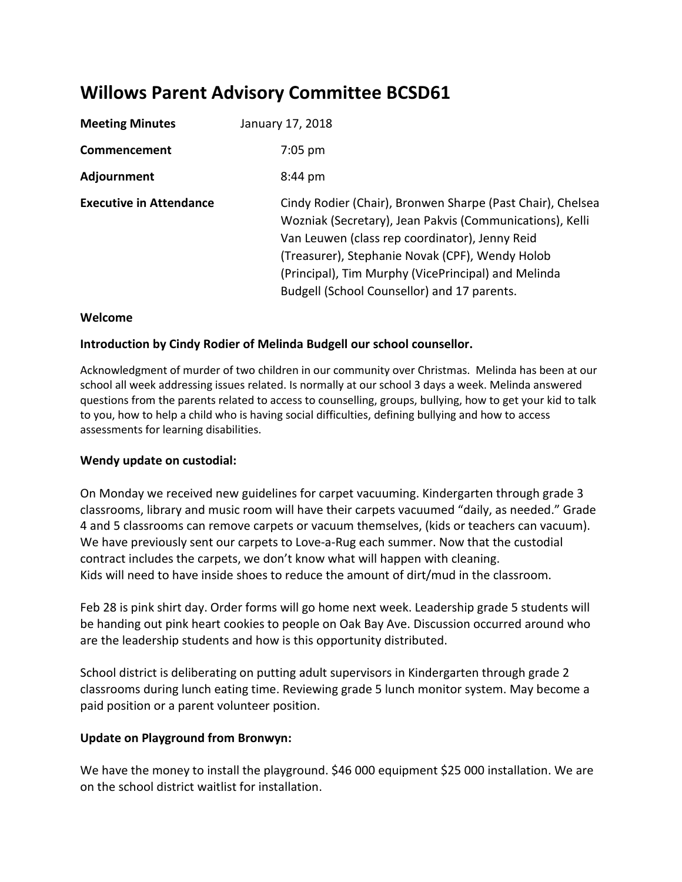# **Willows Parent Advisory Committee BCSD61**

| <b>Meeting Minutes</b>         | January 17, 2018                                                                                                                                                                                                                                                                                                                  |
|--------------------------------|-----------------------------------------------------------------------------------------------------------------------------------------------------------------------------------------------------------------------------------------------------------------------------------------------------------------------------------|
| Commencement                   | $7:05$ pm                                                                                                                                                                                                                                                                                                                         |
| Adjournment                    | $8:44 \text{ pm}$                                                                                                                                                                                                                                                                                                                 |
| <b>Executive in Attendance</b> | Cindy Rodier (Chair), Bronwen Sharpe (Past Chair), Chelsea<br>Wozniak (Secretary), Jean Pakvis (Communications), Kelli<br>Van Leuwen (class rep coordinator), Jenny Reid<br>(Treasurer), Stephanie Novak (CPF), Wendy Holob<br>(Principal), Tim Murphy (VicePrincipal) and Melinda<br>Budgell (School Counsellor) and 17 parents. |

#### **Welcome**

## **Introduction by Cindy Rodier of Melinda Budgell our school counsellor.**

Acknowledgment of murder of two children in our community over Christmas. Melinda has been at our school all week addressing issues related. Is normally at our school 3 days a week. Melinda answered questions from the parents related to access to counselling, groups, bullying, how to get your kid to talk to you, how to help a child who is having social difficulties, defining bullying and how to access assessments for learning disabilities.

#### **Wendy update on custodial:**

On Monday we received new guidelines for carpet vacuuming. Kindergarten through grade 3 classrooms, library and music room will have their carpets vacuumed "daily, as needed." Grade 4 and 5 classrooms can remove carpets or vacuum themselves, (kids or teachers can vacuum). We have previously sent our carpets to Love-a-Rug each summer. Now that the custodial contract includes the carpets, we don't know what will happen with cleaning. Kids will need to have inside shoes to reduce the amount of dirt/mud in the classroom.

Feb 28 is pink shirt day. Order forms will go home next week. Leadership grade 5 students will be handing out pink heart cookies to people on Oak Bay Ave. Discussion occurred around who are the leadership students and how is this opportunity distributed.

School district is deliberating on putting adult supervisors in Kindergarten through grade 2 classrooms during lunch eating time. Reviewing grade 5 lunch monitor system. May become a paid position or a parent volunteer position.

## **Update on Playground from Bronwyn:**

We have the money to install the playground. \$46 000 equipment \$25 000 installation. We are on the school district waitlist for installation.